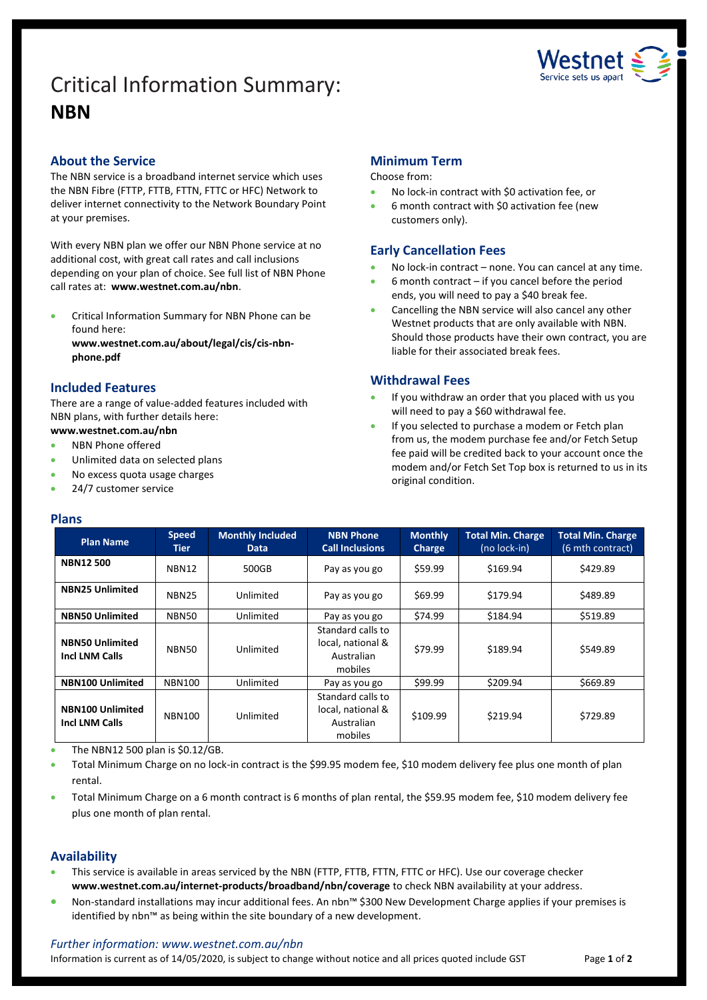# Critical Information Summary: **NBN**



## **About the Service**

The NBN service is a broadband internet service which uses the NBN Fibre (FTTP, FTTB, FTTN, FTTC or HFC) Network to deliver internet connectivity to the Network Boundary Point at your premises.

With every NBN plan we offer our NBN Phone service at no additional cost, with great call rates and call inclusions depending on your plan of choice. See full list of NBN Phone call rates at: **www.westnet.com.au/nbn**.

 Critical Information Summary for NBN Phone can be found here:

**www.westnet.com.au/about/legal/cis/cis-nbnphone.pdf**

## **Included Features**

There are a range of value-added features included with NBN plans, with further details here:

## **www.westnet.com.au/nbn**

- NBN Phone offered
- Unlimited data on selected plans
- No excess quota usage charges
- 24/7 customer service

#### **Plans**

### **Minimum Term**

#### Choose from:

- No lock-in contract with \$0 activation fee, or
- 6 month contract with \$0 activation fee (new customers only).

### **Early Cancellation Fees**

- No lock-in contract none. You can cancel at any time.
- 6 month contract if you cancel before the period ends, you will need to pay a \$40 break fee.
- Cancelling the NBN service will also cancel any other Westnet products that are only available with NBN. Should those products have their own contract, you are liable for their associated break fees.

### **Withdrawal Fees**

- If you withdraw an order that you placed with us you will need to pay a \$60 withdrawal fee.
- If you selected to purchase a modem or Fetch plan from us, the modem purchase fee and/or Fetch Setup fee paid will be credited back to your account once the modem and/or Fetch Set Top box is returned to us in its original condition.

| <b>Plan Name</b>                                 | <b>Speed</b><br>Tier | <b>Monthly Included</b><br><b>Data</b> | <b>NBN Phone</b><br><b>Call Inclusions</b>                      | <b>Monthly</b><br>Charge | <b>Total Min. Charge</b><br>(no lock-in) | <b>Total Min. Charge</b><br>(6 mth contract) |
|--------------------------------------------------|----------------------|----------------------------------------|-----------------------------------------------------------------|--------------------------|------------------------------------------|----------------------------------------------|
| <b>NBN12500</b>                                  | <b>NBN12</b>         | 500GB                                  | Pay as you go                                                   | \$59.99                  | \$169.94                                 | \$429.89                                     |
| <b>NBN25 Unlimited</b>                           | <b>NBN25</b>         | Unlimited                              | Pay as you go                                                   | \$69.99                  | \$179.94                                 | \$489.89                                     |
| <b>NBN50 Unlimited</b>                           | NBN50                | Unlimited                              | Pay as you go                                                   | \$74.99                  | \$184.94                                 | \$519.89                                     |
| <b>NBN50 Unlimited</b><br><b>Incl LNM Calls</b>  | NBN50                | Unlimited                              | Standard calls to<br>local, national &<br>Australian<br>mobiles | \$79.99                  | \$189.94                                 | \$549.89                                     |
| <b>NBN100 Unlimited</b>                          | <b>NBN100</b>        | Unlimited                              | Pay as you go                                                   | \$99.99                  | \$209.94                                 | \$669.89                                     |
| <b>NBN100 Unlimited</b><br><b>Incl LNM Calls</b> | <b>NBN100</b>        | Unlimited                              | Standard calls to<br>local, national &<br>Australian<br>mobiles | \$109.99                 | \$219.94                                 | \$729.89                                     |

The NBN12 500 plan is \$0.12/GB.

 Total Minimum Charge on no lock-in contract is the \$99.95 modem fee, \$10 modem delivery fee plus one month of plan rental.

 Total Minimum Charge on a 6 month contract is 6 months of plan rental, the \$59.95 modem fee, \$10 modem delivery fee plus one month of plan rental.

#### **Availability**

- This service is available in areas serviced by the NBN (FTTP, FTTB, FTTN, FTTC or HFC). Use ou[r coverage checker](https://www.westnet.com.au/internet-products/broadband/nbn/coverage/) **www.westnet.com.au/internet-products/broadband/nbn/coverage** to check NBN availability at your address.
- Non-standard installations may incur additional fees. An nbn™ \$300 New Development Charge applies if your premises is identified by nbn™ as being within the site boundary of a new development.

#### *Further information: www.westnet.com.au/nbn*

Information is current as of 14/05/2020, is subject to change without notice and all prices quoted include GST Page 1 of 2